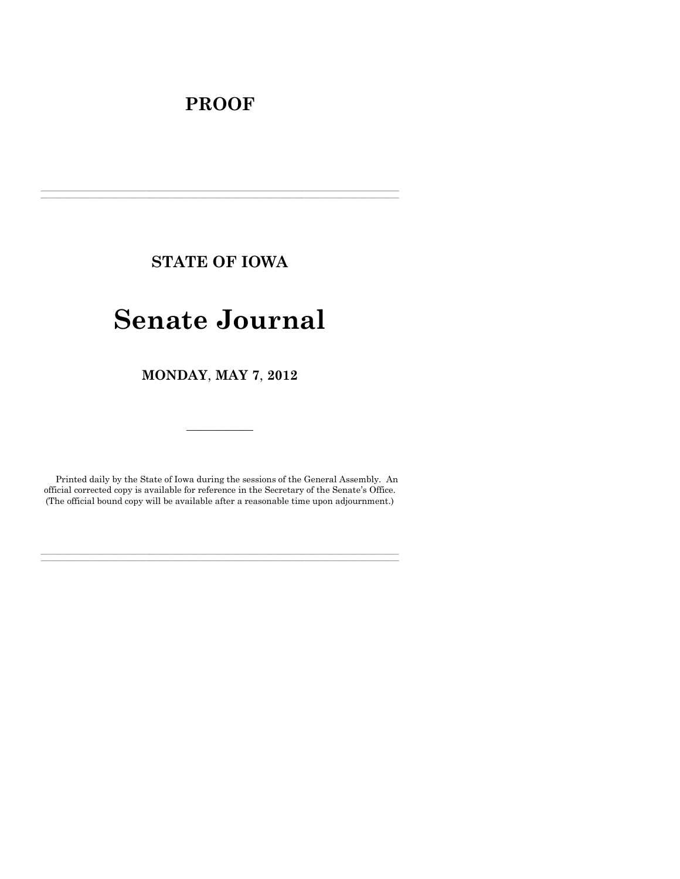# **PROOF**

**STATE OF IOWA**

**\_\_\_\_\_\_\_\_\_\_\_\_\_\_\_\_\_\_\_\_\_\_\_\_\_\_\_\_\_\_\_\_\_\_\_\_\_\_\_\_\_\_\_\_\_\_\_\_\_\_\_\_\_\_\_\_\_\_\_\_\_\_\_\_\_\_\_\_\_\_\_\_\_\_\_\_\_\_\_\_\_\_\_\_\_\_\_\_\_\_\_\_\_\_\_\_\_\_\_\_\_\_\_\_\_\_\_\_\_\_\_\_\_\_\_\_\_\_\_\_\_\_\_\_\_\_\_\_\_**  $\mathcal{L} = \{ \mathcal{L} = \{ \mathcal{L} = \{ \mathcal{L} = \{ \mathcal{L} = \{ \mathcal{L} = \{ \mathcal{L} = \{ \mathcal{L} = \{ \mathcal{L} = \{ \mathcal{L} = \{ \mathcal{L} = \{ \mathcal{L} = \{ \mathcal{L} = \{ \mathcal{L} = \{ \mathcal{L} = \{ \mathcal{L} = \{ \mathcal{L} = \{ \mathcal{L} = \{ \mathcal{L} = \{ \mathcal{L} = \{ \mathcal{L} = \{ \mathcal{L} = \{ \mathcal{L} = \{ \mathcal{L} = \{ \mathcal{$ 

# **Senate Journal**

**MONDAY**, **MAY 7**, **2012**

Printed daily by the State of Iowa during the sessions of the General Assembly. An official corrected copy is available for reference in the Secretary of the Senate's Office. (The official bound copy will be available after a reasonable time upon adjournment.)

**\_\_\_\_\_\_\_\_\_\_\_\_\_\_\_\_\_\_\_\_\_\_\_\_\_\_\_\_\_\_\_\_\_\_\_\_\_\_\_\_\_\_\_\_\_\_\_\_\_\_\_\_\_\_\_\_\_\_\_\_\_\_\_\_\_\_\_\_\_\_\_\_\_\_\_\_\_\_\_\_\_\_\_\_\_\_\_\_\_\_\_\_\_\_\_\_\_\_\_\_\_\_\_\_\_\_\_\_\_\_\_\_\_\_\_\_\_\_\_\_\_\_\_\_\_\_\_\_\_ \_\_\_\_\_\_\_\_\_\_\_\_\_\_\_\_\_\_\_\_\_\_\_\_\_\_\_\_\_\_\_\_\_\_\_\_\_\_\_\_\_\_\_\_\_\_\_\_\_\_\_\_\_\_\_\_\_\_\_\_\_\_\_\_\_\_\_\_\_\_\_\_\_\_\_\_\_\_\_\_\_\_\_\_\_\_\_\_\_\_\_\_\_\_\_\_\_\_\_\_\_\_\_\_\_\_\_\_\_\_\_\_\_\_\_\_\_\_\_\_\_\_\_\_\_\_\_\_\_**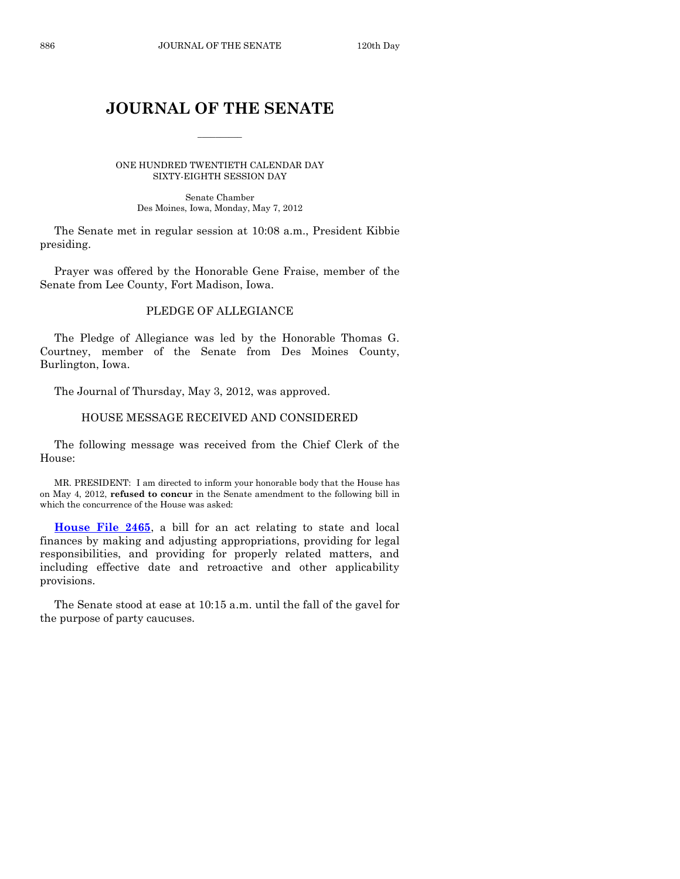# **JOURNAL OF THE SENATE**

 $\overline{\phantom{a}}$ 

ONE HUNDRED TWENTIETH CALENDAR DAY SIXTY-EIGHTH SESSION DAY

Senate Chamber Des Moines, Iowa, Monday, May 7, 2012

The Senate met in regular session at 10:08 a.m., President Kibbie presiding.

Prayer was offered by the Honorable Gene Fraise, member of the Senate from Lee County, Fort Madison, Iowa.

# PLEDGE OF ALLEGIANCE

The Pledge of Allegiance was led by the Honorable Thomas G. Courtney, member of the Senate from Des Moines County, Burlington, Iowa.

The Journal of Thursday, May 3, 2012, was approved.

# HOUSE MESSAGE RECEIVED AND CONSIDERED

The following message was received from the Chief Clerk of the House:

MR. PRESIDENT: I am directed to inform your honorable body that the House has on May 4, 2012, **refused to concur** in the Senate amendment to the following bill in which the concurrence of the House was asked:

**[House File 2465](http://coolice.legis.state.ia.us/Cool-ICE/default.asp?Category=billinfo&Service=Billbook&frame=1&GA=84&hbill=HF2465)**, a bill for an act relating to state and local finances by making and adjusting appropriations, providing for legal responsibilities, and providing for properly related matters, and including effective date and retroactive and other applicability provisions.

The Senate stood at ease at 10:15 a.m. until the fall of the gavel for the purpose of party caucuses.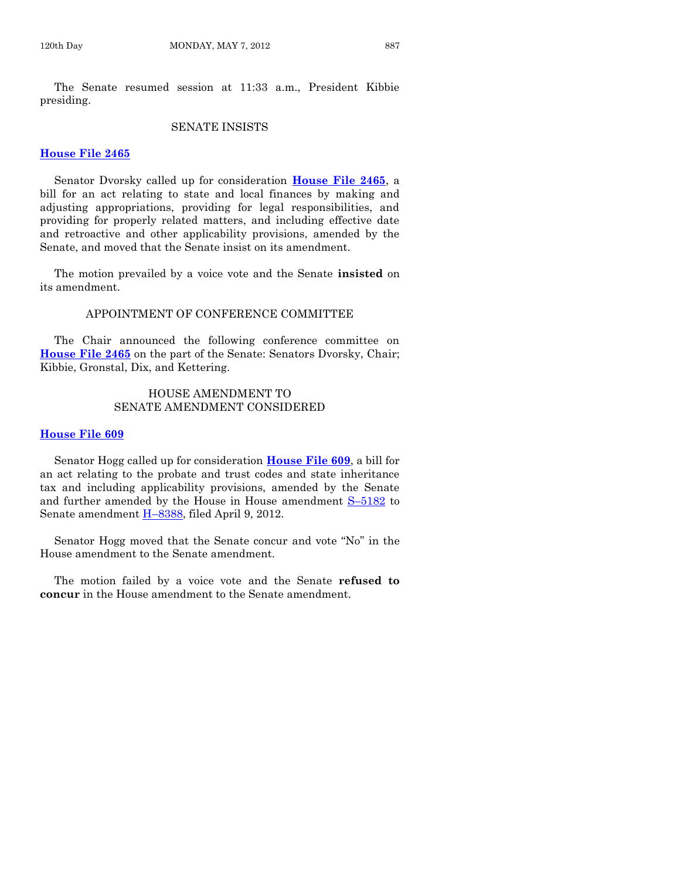The Senate resumed session at 11:33 a.m., President Kibbie presiding.

#### SENATE INSISTS

#### **[House File 2465](http://coolice.legis.state.ia.us/Cool-ICE/default.asp?Category=billinfo&Service=Billbook&frame=1&GA=84&hbill=HF2465)**

Senator Dvorsky called up for consideration **[House File 2465](http://coolice.legis.state.ia.us/Cool-ICE/default.asp?Category=billinfo&Service=Billbook&frame=1&GA=84&hbill=HF2465)**, a bill for an act relating to state and local finances by making and adjusting appropriations, providing for legal responsibilities, and providing for properly related matters, and including effective date and retroactive and other applicability provisions, amended by the Senate, and moved that the Senate insist on its amendment.

The motion prevailed by a voice vote and the Senate **insisted** on its amendment.

# APPOINTMENT OF CONFERENCE COMMITTEE

The Chair announced the following conference committee on **[House File 2465](http://coolice.legis.state.ia.us/Cool-ICE/default.asp?Category=billinfo&Service=Billbook&frame=1&GA=84&hbill=HF2465)** on the part of the Senate: Senators Dvorsky, Chair; Kibbie, Gronstal, Dix, and Kettering.

# HOUSE AMENDMENT TO SENATE AMENDMENT CONSIDERED

#### **[House File 609](http://coolice.legis.state.ia.us/Cool-ICE/default.asp?Category=billinfo&Service=Billbook&frame=1&GA=84&hbill=HF609)**

Senator Hogg called up for consideration **[House File 609](http://coolice.legis.state.ia.us/Cool-ICE/default.asp?Category=billinfo&Service=Billbook&frame=1&GA=84&hbill=HF609)**, a bill for an act relating to the probate and trust codes and state inheritance tax and including applicability provisions, amended by the Senate and further amended by the House in House amendment S–[5182](http://coolice.legis.state.ia.us/Cool-ICE/default.asp?Category=billinfo&Service=Billbook&frame=1&GA=84&hbill=S5182) to Senate amendment H–[8388,](http://coolice.legis.state.ia.us/Cool-ICE/default.asp?Category=billinfo&Service=Billbook&frame=1&GA=84&hbill=H8388) filed April 9, 2012.

Senator Hogg moved that the Senate concur and vote "No" in the House amendment to the Senate amendment.

The motion failed by a voice vote and the Senate **refused to concur** in the House amendment to the Senate amendment.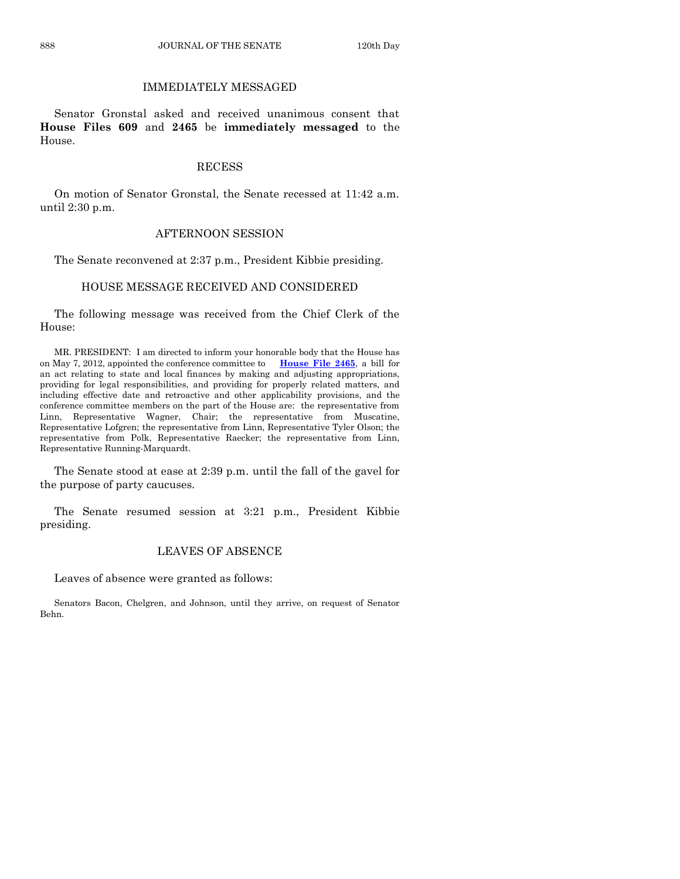# IMMEDIATELY MESSAGED

Senator Gronstal asked and received unanimous consent that **House Files 609** and **2465** be **immediately messaged** to the House.

#### **RECESS**

On motion of Senator Gronstal, the Senate recessed at 11:42 a.m. until 2:30 p.m.

#### AFTERNOON SESSION

The Senate reconvened at 2:37 p.m., President Kibbie presiding.

# HOUSE MESSAGE RECEIVED AND CONSIDERED

The following message was received from the Chief Clerk of the House:

MR. PRESIDENT: I am directed to inform your honorable body that the House has on May 7, 2012, appointed the conference committee to **[House File 2465](http://coolice.legis.state.ia.us/Cool-ICE/default.asp?Category=billinfo&Service=Billbook&frame=1&GA=84&hbill=HF2465)**, a bill for an act relating to state and local finances by making and adjusting appropriations, providing for legal responsibilities, and providing for properly related matters, and including effective date and retroactive and other applicability provisions, and the conference committee members on the part of the House are: the representative from Linn, Representative Wagner, Chair; the representative from Muscatine, Representative Lofgren; the representative from Linn, Representative Tyler Olson; the representative from Polk, Representative Raecker; the representative from Linn, Representative Running-Marquardt.

The Senate stood at ease at 2:39 p.m. until the fall of the gavel for the purpose of party caucuses.

The Senate resumed session at 3:21 p.m., President Kibbie presiding.

# LEAVES OF ABSENCE

Leaves of absence were granted as follows:

Senators Bacon, Chelgren, and Johnson, until they arrive, on request of Senator Behn.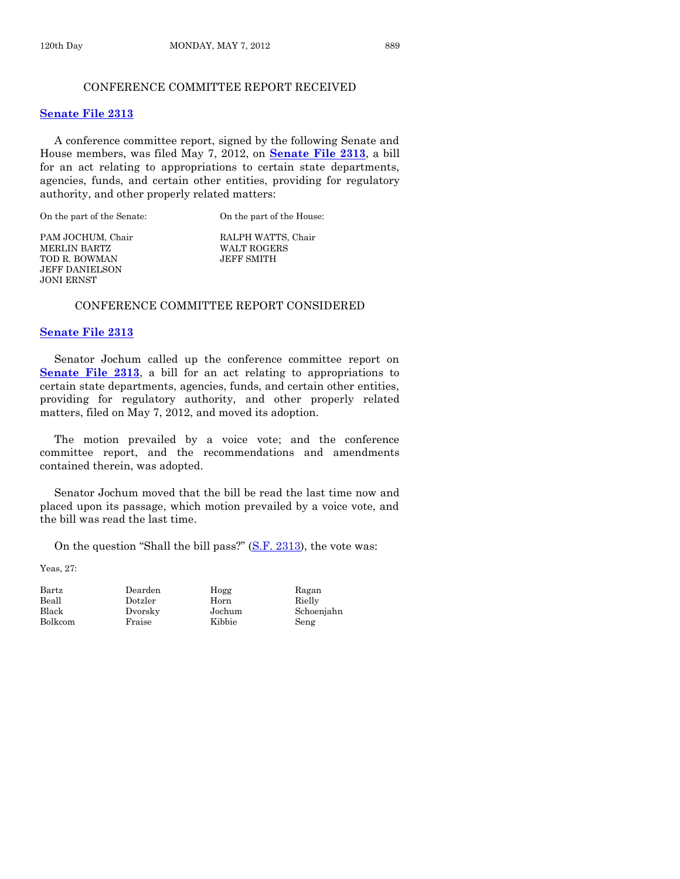# CONFERENCE COMMITTEE REPORT RECEIVED

#### **[Senate File 2313](http://coolice.legis.state.ia.us/Cool-ICE/default.asp?Category=billinfo&Service=Billbook&frame=1&GA=84&hbill=SF2313)**

A conference committee report, signed by the following Senate and House members, was filed May 7, 2012, on **[Senate File 2313](http://coolice.legis.state.ia.us/Cool-ICE/default.asp?Category=billinfo&Service=Billbook&frame=1&GA=84&hbill=SF2313)**, a bill for an act relating to appropriations to certain state departments, agencies, funds, and certain other entities, providing for regulatory authority, and other properly related matters:

On the part of the Senate: On the part of the House:

PAM JOCHUM, Chair RALPH WATTS, Chair MERLIN BARTZ WALT ROGERS TOD R. BOWMAN JEFF SMITH JEFF DANIELSON JONI ERNST

# CONFERENCE COMMITTEE REPORT CONSIDERED

#### **[Senate File 2313](http://coolice.legis.state.ia.us/Cool-ICE/default.asp?Category=billinfo&Service=Billbook&frame=1&GA=84&hbill=SF2313)**

Senator Jochum called up the conference committee report on **[Senate File 2313](http://coolice.legis.state.ia.us/Cool-ICE/default.asp?Category=billinfo&Service=Billbook&frame=1&GA=84&hbill=SF2313)**, a bill for an act relating to appropriations to certain state departments, agencies, funds, and certain other entities, providing for regulatory authority, and other properly related matters, filed on May 7, 2012, and moved its adoption.

The motion prevailed by a voice vote; and the conference committee report, and the recommendations and amendments contained therein, was adopted.

Senator Jochum moved that the bill be read the last time now and placed upon its passage, which motion prevailed by a voice vote, and the bill was read the last time.

On the question "Shall the bill pass?"  $(S.F. 2313)$ , the vote was:

Yeas, 27:

Bolkcom Fraise Kibbie Seng

Beall Dotzler Horn Rielly

Bartz Dearden Hogg Ragan

Black Dvorsky Jochum Schoenjahn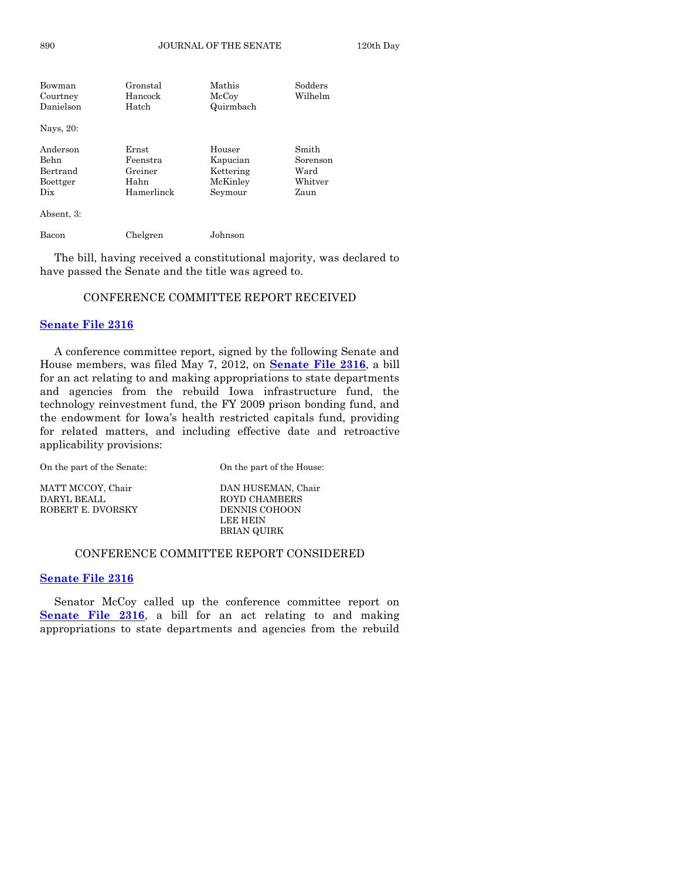| Bowman     | Gronstal   | Mathis    | Sodders  |
|------------|------------|-----------|----------|
| Courtney   | Hancock    | McCoy     | Wilhelm  |
| Danielson  | Hatch      | Quirmbach |          |
| Nays, 20:  |            |           |          |
| Anderson   | Ernst      | Houser    | Smith    |
| Behn       | Feenstra   | Kapucian  | Sorenson |
| Bertrand   | Greiner    | Kettering | Ward     |
| Boettger   | Hahn       | McKinley  | Whitver  |
| Dix        | Hamerlinck | Seymour   | Zaun     |
| Absent, 3: |            |           |          |

Bacon Chelgren Johnson

The bill, having received a constitutional majority, was declared to have passed the Senate and the title was agreed to.

#### CONFERENCE COMMITTEE REPORT RECEIVED

# **[Senate File 2316](http://coolice.legis.state.ia.us/Cool-ICE/default.asp?Category=billinfo&Service=Billbook&frame=1&GA=84&hbill=SF2316)**

A conference committee report, signed by the following Senate and House members, was filed May 7, 2012, on **[Senate File 2316](http://coolice.legis.state.ia.us/Cool-ICE/default.asp?Category=billinfo&Service=Billbook&frame=1&GA=84&hbill=SF2316)**, a bill for an act relating to and making appropriations to state departments and agencies from the rebuild Iowa infrastructure fund, the technology reinvestment fund, the FY 2009 prison bonding fund, and the endowment for Iowa's health restricted capitals fund, providing for related matters, and including effective date and retroactive applicability provisions:

| On the part of the Senate: | On the part of the House: |
|----------------------------|---------------------------|
| MATT MCCOY, Chair          | DAN HUSEMAN, Chair        |
| DARYL BEALL                | <b>ROYD CHAMBERS</b>      |
| ROBERT E. DVORSKY          | <b>DENNIS COHOON</b>      |
|                            | LEE HEIN                  |
|                            | BRIAN QUIRK               |

#### CONFERENCE COMMITTEE REPORT CONSIDERED

#### **[Senate File](http://coolice.legis.state.ia.us/Cool-ICE/default.asp?Category=billinfo&Service=Billbook&frame=1&GA=84&hbill=SF2316) 2316**

Senator McCoy called up the conference committee report on **[Senate File 2316](http://coolice.legis.state.ia.us/Cool-ICE/default.asp?Category=billinfo&Service=Billbook&frame=1&GA=84&hbill=SF2316)**, a bill for an act relating to and making appropriations to state departments and agencies from the rebuild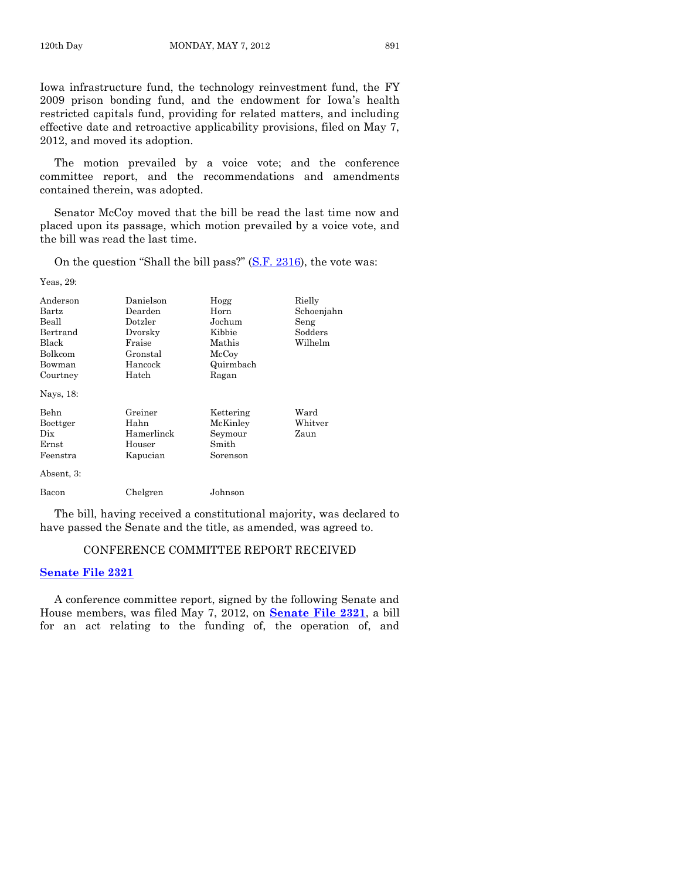Iowa infrastructure fund, the technology reinvestment fund, the FY 2009 prison bonding fund, and the endowment for Iowa's health restricted capitals fund, providing for related matters, and including effective date and retroactive applicability provisions, filed on May 7, 2012, and moved its adoption.

The motion prevailed by a voice vote; and the conference committee report, and the recommendations and amendments contained therein, was adopted.

Senator McCoy moved that the bill be read the last time now and placed upon its passage, which motion prevailed by a voice vote, and the bill was read the last time.

On the question "Shall the bill pass?" [\(S.F. 2316\)](http://coolice.legis.state.ia.us/Cool-ICE/default.asp?Category=billinfo&Service=Billbook&frame=1&GA=84&hbill=SF2316), the vote was:

Yeas, 29:

| Anderson<br>Bartz<br>Beall<br>Bertrand<br>Black<br><b>Bolkcom</b><br>Bowman<br>Courtney<br>Nays, 18: | Danielson<br>Dearden<br>Dotzler<br>Dvorsky<br>Fraise<br>Gronstal<br>Hancock<br>Hatch | Hogg<br>Horn<br>Jochum<br>Kibbie<br>Mathis<br>McCoy<br>Quirmbach<br>Ragan | Rielly<br>Schoenjahn<br>Seng<br>Sodders<br>Wilhelm |
|------------------------------------------------------------------------------------------------------|--------------------------------------------------------------------------------------|---------------------------------------------------------------------------|----------------------------------------------------|
| Behn<br>Boettger<br>Dix<br>Ernst<br>Feenstra<br>Absent, 3:                                           | Greiner<br>Hahn<br>Hamerlinck<br>Houser<br>Kapucian                                  | Kettering<br>McKinley<br>Seymour<br>Smith<br>Sorenson                     | Ward<br>Whitver<br>Zaun                            |
| Bacon                                                                                                | Chelgren                                                                             | Johnson                                                                   |                                                    |

The bill, having received a constitutional majority, was declared to have passed the Senate and the title, as amended, was agreed to.

# CONFERENCE COMMITTEE REPORT RECEIVED

#### **[Senate File 2321](http://coolice.legis.state.ia.us/Cool-ICE/default.asp?Category=billinfo&Service=Billbook&frame=1&GA=84&hbill=SF2321)**

A conference committee report, signed by the following Senate and House members, was filed May 7, 2012, on **[Senate File 2321](http://coolice.legis.state.ia.us/Cool-ICE/default.asp?Category=billinfo&Service=Billbook&frame=1&GA=84&hbill=SF2321)**, a bill for an act relating to the funding of, the operation of, and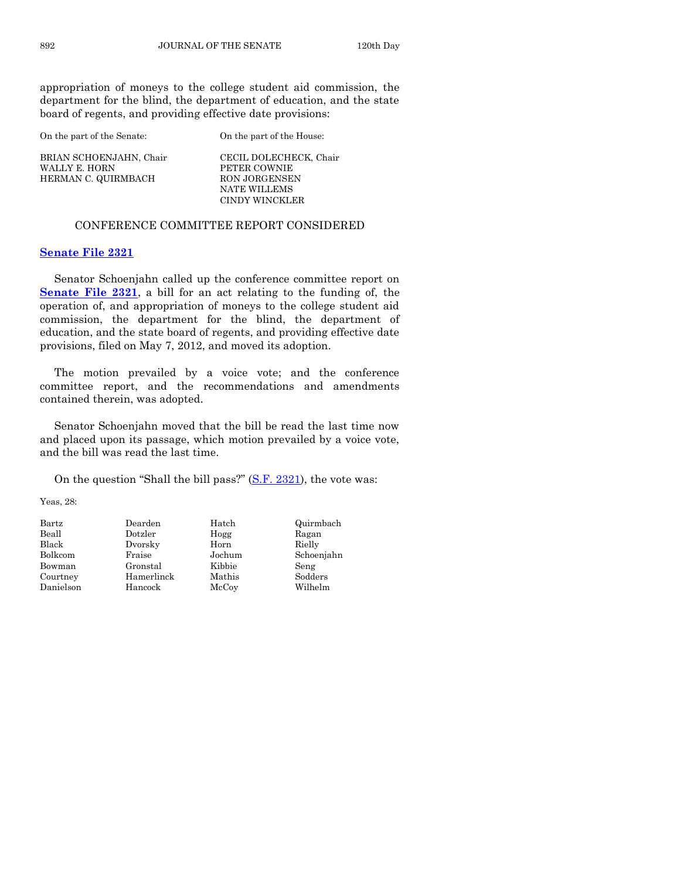appropriation of moneys to the college student aid commission, the department for the blind, the department of education, and the state board of regents, and providing effective date provisions:

On the part of the Senate: On the part of the House: BRIAN SCHOENJAHN, Chair CECIL DOLECHECK, Chair WALLY E. HORN PETER COWNIE HERMAN C. QUIRMBACH RON JORGENSEN NATE WILLEMS CINDY WINCKLER

#### CONFERENCE COMMITTEE REPORT CONSIDERED

#### **[Senate File 2321](http://coolice.legis.state.ia.us/Cool-ICE/default.asp?Category=billinfo&Service=Billbook&frame=1&GA=84&hbill=SF2321)**

Senator Schoenjahn called up the conference committee report on **[Senate File 2321](http://coolice.legis.state.ia.us/Cool-ICE/default.asp?Category=billinfo&Service=Billbook&frame=1&GA=84&hbill=SF2321)**, a bill for an act relating to the funding of, the operation of, and appropriation of moneys to the college student aid commission, the department for the blind, the department of education, and the state board of regents, and providing effective date provisions, filed on May 7, 2012, and moved its adoption.

The motion prevailed by a voice vote; and the conference committee report, and the recommendations and amendments contained therein, was adopted.

Senator Schoenjahn moved that the bill be read the last time now and placed upon its passage, which motion prevailed by a voice vote, and the bill was read the last time.

On the question "Shall the bill pass?" [\(S.F. 2321\)](http://coolice.legis.state.ia.us/Cool-ICE/default.asp?Category=billinfo&Service=Billbook&frame=1&GA=84&hbill=SF2321), the vote was:

Yeas, 28:

| $\rm{Bartz}$ | Dearden    | Hatch  | Quirmbach  |
|--------------|------------|--------|------------|
| Beall        | Dotzler    | Hogg   | Ragan      |
| Black        | Dvorsky    | Horn   | Rielly     |
| Bolkcom      | Fraise     | Jochum | Schoenjahn |
| Bowman       | Gronstal   | Kibbie | Seng       |
| Courtney     | Hamerlinck | Mathis | Sodders    |
| Danielson    | Hancock    | McCoy  | Wilhelm    |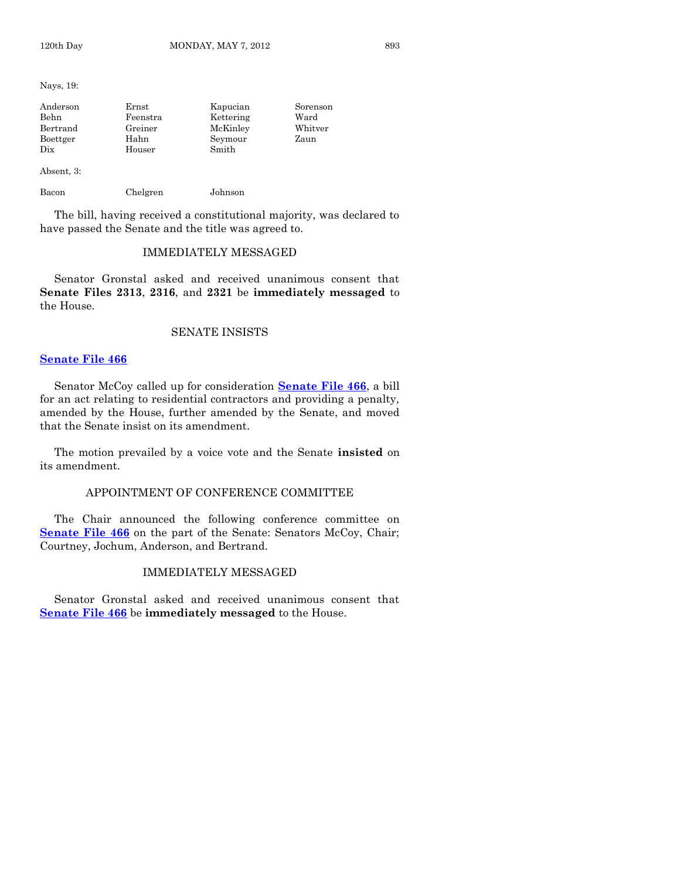Nays, 19:

| Anderson       | Ernst    | Kapucian  | Sorenson |
|----------------|----------|-----------|----------|
| Behn           | Feenstra | Kettering | Ward     |
| Bertrand       | Greiner  | McKinley  | Whitver  |
| Boettger       | Hahn     | Seymour   | Zaun     |
| $_{\rm \,pix}$ | Houser   | Smith     |          |
| Absent, 3:     |          |           |          |
| Bacon          | Chelgren | Johnson   |          |

The bill, having received a constitutional majority, was declared to have passed the Senate and the title was agreed to.

# IMMEDIATELY MESSAGED

Senator Gronstal asked and received unanimous consent that **Senate Files 2313**, **2316**, and **2321** be **immediately messaged** to the House.

# SENATE INSISTS

# **[Senate File 466](http://coolice.legis.state.ia.us/Cool-ICE/default.asp?Category=billinfo&Service=Billbook&frame=1&GA=84&hbill=SF466)**

Senator McCoy called up for consideration **[Senate File 466](http://coolice.legis.state.ia.us/Cool-ICE/default.asp?Category=billinfo&Service=Billbook&frame=1&GA=84&hbill=SF466)**, a bill for an act relating to residential contractors and providing a penalty, amended by the House, further amended by the Senate, and moved that the Senate insist on its amendment.

The motion prevailed by a voice vote and the Senate **insisted** on its amendment.

# APPOINTMENT OF CONFERENCE COMMITTEE

The Chair announced the following conference committee on **[Senate File 466](http://coolice.legis.state.ia.us/Cool-ICE/default.asp?Category=billinfo&Service=Billbook&frame=1&GA=84&hbill=SF466)** on the part of the Senate: Senators McCoy, Chair; Courtney, Jochum, Anderson, and Bertrand.

#### IMMEDIATELY MESSAGED

Senator Gronstal asked and received unanimous consent that **[Senate File 466](http://coolice.legis.state.ia.us/Cool-ICE/default.asp?Category=billinfo&Service=Billbook&frame=1&GA=84&hbill=SF466)** be **immediately messaged** to the House.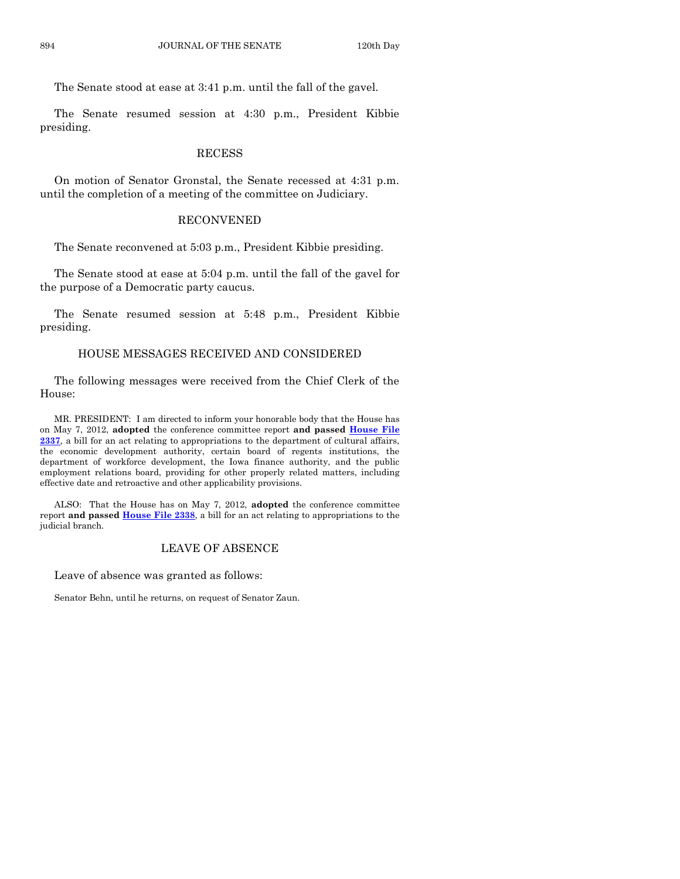The Senate stood at ease at 3:41 p.m. until the fall of the gavel.

The Senate resumed session at 4:30 p.m., President Kibbie presiding.

#### **RECESS**

On motion of Senator Gronstal, the Senate recessed at 4:31 p.m. until the completion of a meeting of the committee on Judiciary.

# RECONVENED

The Senate reconvened at 5:03 p.m., President Kibbie presiding.

The Senate stood at ease at 5:04 p.m. until the fall of the gavel for the purpose of a Democratic party caucus.

The Senate resumed session at 5:48 p.m., President Kibbie presiding.

# HOUSE MESSAGES RECEIVED AND CONSIDERED

The following messages were received from the Chief Clerk of the House:

MR. PRESIDENT: I am directed to inform your honorable body that the House has on May 7, 2012, **adopted** the conference committee report **and passed [House File](http://coolice.legis.state.ia.us/Cool-ICE/default.asp?Category=billinfo&Service=Billbook&frame=1&GA=84&hbill=HF2337)  [2337](http://coolice.legis.state.ia.us/Cool-ICE/default.asp?Category=billinfo&Service=Billbook&frame=1&GA=84&hbill=HF2337)**, a bill for an act relating to appropriations to the department of cultural affairs, the economic development authority, certain board of regents institutions, the department of workforce development, the Iowa finance authority, and the public employment relations board, providing for other properly related matters, including effective date and retroactive and other applicability provisions.

ALSO: That the House has on May 7, 2012, **adopted** the conference committee report **and passed [House File 2338](http://coolice.legis.state.ia.us/Cool-ICE/default.asp?Category=billinfo&Service=Billbook&frame=1&GA=84&hbill=HF2338)**, a bill for an act relating to appropriations to the judicial branch.

# LEAVE OF ABSENCE

Leave of absence was granted as follows:

Senator Behn, until he returns, on request of Senator Zaun.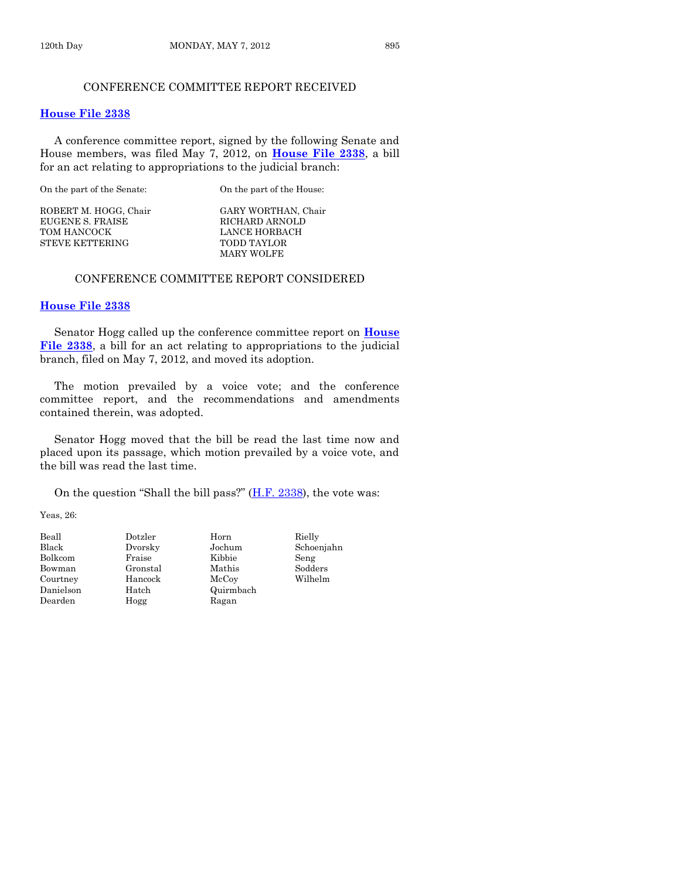# CONFERENCE COMMITTEE REPORT RECEIVED

#### **[House File 2338](http://coolice.legis.state.ia.us/Cool-ICE/default.asp?Category=billinfo&Service=Billbook&frame=1&GA=84&hbill=HF2338)**

A conference committee report, signed by the following Senate and House members, was filed May 7, 2012, on **[House File 2338](http://coolice.legis.state.ia.us/Cool-ICE/default.asp?Category=billinfo&Service=Billbook&frame=1&GA=84&hbill=HF2338)**, a bill for an act relating to appropriations to the judicial branch:

On the part of the Senate: On the part of the House:

ROBERT M. HOGG, Chair GARY WORTHAN, Chair EUGENE S. FRAISE TOM HANCOCK LANCE HORBACH STEVE KETTERING TODD TAYLOR

MARY WOLFE

# CONFERENCE COMMITTEE REPORT CONSIDERED

#### **[House File 2338](http://coolice.legis.state.ia.us/Cool-ICE/default.asp?Category=billinfo&Service=Billbook&frame=1&GA=84&hbill=HF2338)**

Senator Hogg called up the conference committee report on **[House](http://coolice.legis.state.ia.us/Cool-ICE/default.asp?Category=billinfo&Service=Billbook&frame=1&GA=84&hbill=HF2338)  [File 2338](http://coolice.legis.state.ia.us/Cool-ICE/default.asp?Category=billinfo&Service=Billbook&frame=1&GA=84&hbill=HF2338)**, a bill for an act relating to appropriations to the judicial branch, filed on May 7, 2012, and moved its adoption.

The motion prevailed by a voice vote; and the conference committee report, and the recommendations and amendments contained therein, was adopted.

Senator Hogg moved that the bill be read the last time now and placed upon its passage, which motion prevailed by a voice vote, and the bill was read the last time.

On the question "Shall the bill pass?"  $(H.F. 2338)$ , the vote was:

Yeas, 26:

| Beall        |
|--------------|
| <b>Black</b> |
| Bolkcom      |
| Bowman       |
| Courtney     |
| Danielson    |
| Dearden      |

er Beall Dotzler Horn Bielly<br>Black Dvorsky Jochum Schoei Bolkcom Fraise Kibbie Seng Gronstal Mathis Sodders Hancock McCoy Wilhelm Hatch Quirmbach Hogg Ragan

Brook Dochum Schoenjahn<br>Back Seng Seng<br>Traise Seng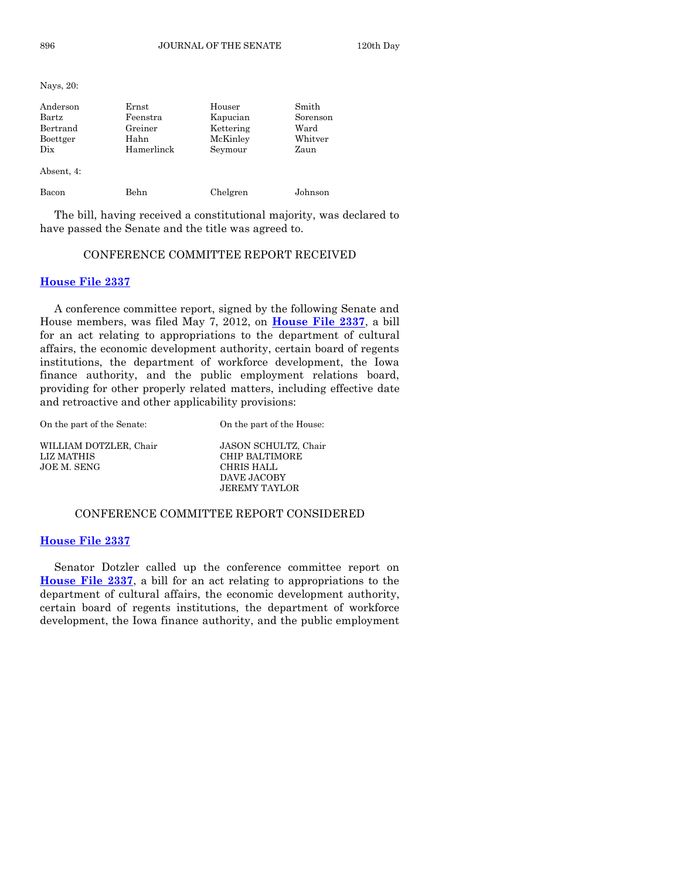Nays, 20:

| Anderson<br>Bartz<br>Bertrand<br>Boettger<br>Dix<br>Absent, 4: | Ernst<br>Feenstra<br>Greiner<br>Hahn<br>Hamerlinck | Houser<br>Kapucian<br>Kettering<br>McKinley<br>Seymour | Smith<br>Sorenson<br>Ward<br>Whitver<br>Zaun |
|----------------------------------------------------------------|----------------------------------------------------|--------------------------------------------------------|----------------------------------------------|
| Bacon                                                          | Behn                                               | Chelgren                                               | Johnson                                      |

The bill, having received a constitutional majority, was declared to have passed the Senate and the title was agreed to.

# CONFERENCE COMMITTEE REPORT RECEIVED

#### **[House File 2337](http://coolice.legis.state.ia.us/Cool-ICE/default.asp?Category=billinfo&Service=Billbook&frame=1&GA=84&hbill=HF2337)**

A conference committee report, signed by the following Senate and House members, was filed May 7, 2012, on **[House File 2337](http://coolice.legis.state.ia.us/Cool-ICE/default.asp?Category=billinfo&Service=Billbook&frame=1&GA=84&hbill=HF2337)**, a bill for an act relating to appropriations to the department of cultural affairs, the economic development authority, certain board of regents institutions, the department of workforce development, the Iowa finance authority, and the public employment relations board, providing for other properly related matters, including effective date and retroactive and other applicability provisions:

On the part of the Senate: On the part of the House:

WILLIAM DOTZLER, Chair JASON SCHULTZ, Chair LIZ MATHIS CHIP BALTIMORE JOE M. SENG CHRIS HALL

CHIP BALTIMORE DAVE JACOBY JEREMY TAYLOR

# CONFERENCE COMMITTEE REPORT CONSIDERED

#### **[House File 2337](http://coolice.legis.state.ia.us/Cool-ICE/default.asp?Category=billinfo&Service=Billbook&frame=1&GA=84&hbill=HF2337)**

Senator Dotzler called up the conference committee report on **[House File 2337](http://coolice.legis.state.ia.us/Cool-ICE/default.asp?Category=billinfo&Service=Billbook&frame=1&GA=84&hbill=HF2337)**, a bill for an act relating to appropriations to the department of cultural affairs, the economic development authority, certain board of regents institutions, the department of workforce development, the Iowa finance authority, and the public employment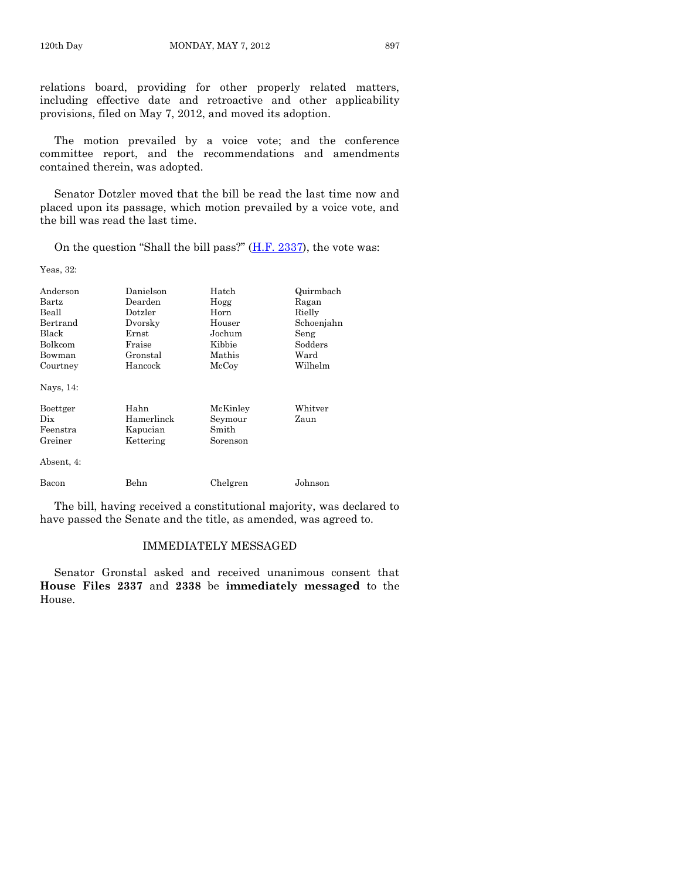The motion prevailed by a voice vote; and the conference committee report, and the recommendations and amendments contained therein, was adopted.

Senator Dotzler moved that the bill be read the last time now and placed upon its passage, which motion prevailed by a voice vote, and the bill was read the last time.

On the question "Shall the bill pass?"  $(H.F. 2337)$ , the vote was:

Yeas, 32:

| Anderson   | Danielson   | Hatch    | Quirmbach  |
|------------|-------------|----------|------------|
| Bartz      | Dearden     | Hogg     | Ragan      |
| Beall      | Dotzler     | Horn     | Rielly     |
| Bertrand   | Dvorsky     | Houser   | Schoenjahn |
| Black      | $\rm Ernst$ | Jochum   | Seng       |
| Bolkcom    | Fraise      | Kibbie   | Sodders    |
| Bowman     | Gronstal    | Mathis   | Ward       |
| Courtney   | Hancock     | McCoy    | Wilhelm    |
| Nays, 14:  |             |          |            |
| Boettger   | Hahn        | McKinley | Whitver    |
| Dix        | Hamerlinck  | Seymour  | Zaun       |
| Feenstra   | Kapucian    | Smith    |            |
| Greiner    | Kettering   | Sorenson |            |
| Absent, 4: |             |          |            |
| Bacon      | Behn        | Chelgren | Johnson    |

The bill, having received a constitutional majority, was declared to have passed the Senate and the title, as amended, was agreed to.

# IMMEDIATELY MESSAGED

Senator Gronstal asked and received unanimous consent that **House Files 2337** and **2338** be **immediately messaged** to the House.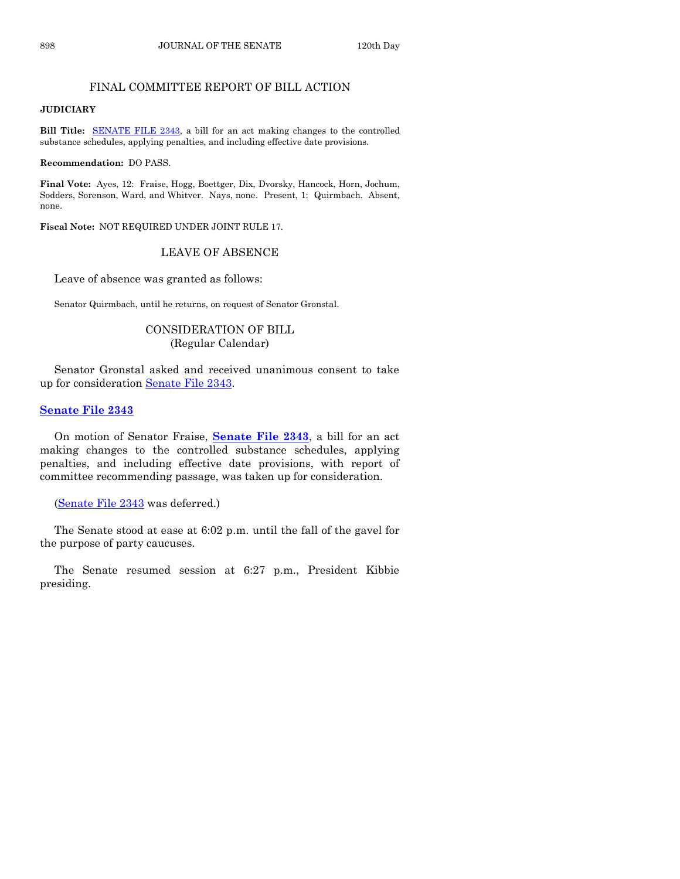# FINAL COMMITTEE REPORT OF BILL ACTION

# **JUDICIARY**

**Bill Title:** [SENATE FILE 2343,](http://coolice.legis.state.ia.us/Cool-ICE/default.asp?Category=billinfo&Service=Billbook&frame=1&GA=84&hbill=SF2343) a bill for an act making changes to the controlled substance schedules, applying penalties, and including effective date provisions.

**Recommendation:** DO PASS.

**Final Vote:** Ayes, 12: Fraise, Hogg, Boettger, Dix, Dvorsky, Hancock, Horn, Jochum, Sodders, Sorenson, Ward, and Whitver. Nays, none. Present, 1: Quirmbach. Absent, none.

**Fiscal Note:** NOT REQUIRED UNDER JOINT RULE 17.

# LEAVE OF ABSENCE

Leave of absence was granted as follows:

Senator Quirmbach, until he returns, on request of Senator Gronstal.

# CONSIDERATION OF BILL (Regular Calendar)

Senator Gronstal asked and received unanimous consent to take up for consideration [Senate File 2343.](http://coolice.legis.state.ia.us/Cool-ICE/default.asp?Category=billinfo&Service=Billbook&frame=1&GA=84&hbill=SF2343)

# **[Senate File 2343](http://coolice.legis.state.ia.us/Cool-ICE/default.asp?Category=billinfo&Service=Billbook&frame=1&GA=84&hbill=SF2343)**

On motion of Senator Fraise, **[Senate File 2343](http://coolice.legis.state.ia.us/Cool-ICE/default.asp?Category=billinfo&Service=Billbook&frame=1&GA=84&hbill=SF2343)**, a bill for an act making changes to the controlled substance schedules, applying penalties, and including effective date provisions, with report of committee recommending passage, was taken up for consideration.

[\(Senate File 2343](http://coolice.legis.state.ia.us/Cool-ICE/default.asp?Category=billinfo&Service=Billbook&frame=1&GA=84&hbill=SF2343) was deferred.)

The Senate stood at ease at 6:02 p.m. until the fall of the gavel for the purpose of party caucuses.

The Senate resumed session at 6:27 p.m., President Kibbie presiding.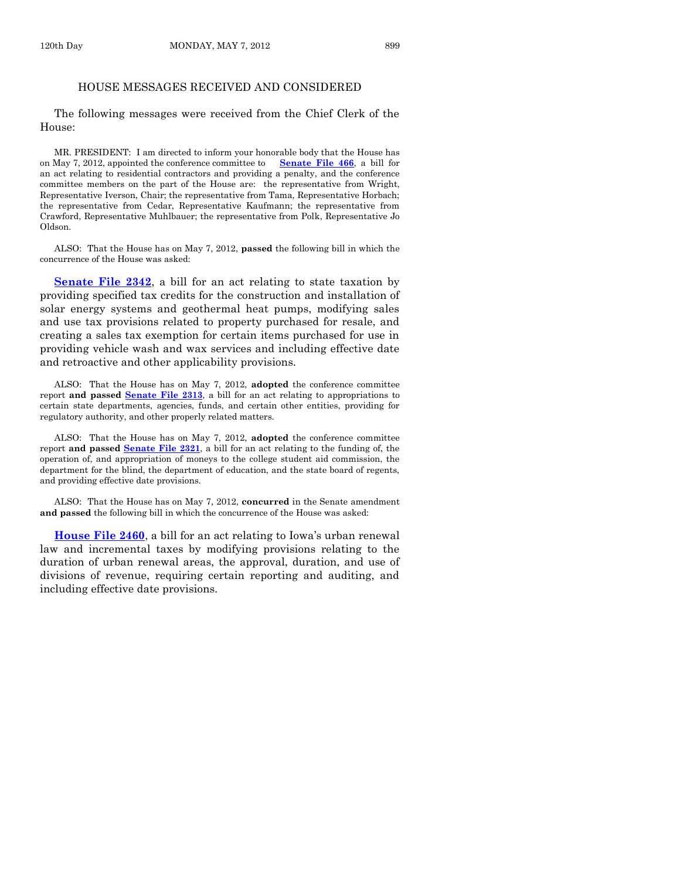# HOUSE MESSAGES RECEIVED AND CONSIDERED

The following messages were received from the Chief Clerk of the House:

MR. PRESIDENT: I am directed to inform your honorable body that the House has on May 7, 2012, appointed the conference committee to **[Senate File 466](http://coolice.legis.state.ia.us/Cool-ICE/default.asp?Category=billinfo&Service=Billbook&frame=1&GA=84&hbill=SF466)**, a bill for an act relating to residential contractors and providing a penalty, and the conference committee members on the part of the House are: the representative from Wright, Representative Iverson, Chair; the representative from Tama, Representative Horbach; the representative from Cedar, Representative Kaufmann; the representative from Crawford, Representative Muhlbauer; the representative from Polk, Representative Jo Oldson.

ALSO: That the House has on May 7, 2012, **passed** the following bill in which the concurrence of the House was asked:

**[Senate File 2342](http://coolice.legis.state.ia.us/Cool-ICE/default.asp?Category=billinfo&Service=Billbook&frame=1&GA=84&hbill=SF2342)**, a bill for an act relating to state taxation by providing specified tax credits for the construction and installation of solar energy systems and geothermal heat pumps, modifying sales and use tax provisions related to property purchased for resale, and creating a sales tax exemption for certain items purchased for use in providing vehicle wash and wax services and including effective date and retroactive and other applicability provisions.

ALSO: That the House has on May 7, 2012, **adopted** the conference committee report **and passed [Senate File 2313](http://coolice.legis.state.ia.us/Cool-ICE/default.asp?Category=billinfo&Service=Billbook&frame=1&GA=84&hbill=SF2313)**, a bill for an act relating to appropriations to certain state departments, agencies, funds, and certain other entities, providing for regulatory authority, and other properly related matters.

ALSO: That the House has on May 7, 2012, **adopted** the conference committee report **and passed [Senate File](http://coolice.legis.state.ia.us/Cool-ICE/default.asp?Category=billinfo&Service=Billbook&frame=1&GA=84&hbill=SF2321) 2321**, a bill for an act relating to the funding of, the operation of, and appropriation of moneys to the college student aid commission, the department for the blind, the department of education, and the state board of regents, and providing effective date provisions.

ALSO: That the House has on May 7, 2012, **concurred** in the Senate amendment **and passed** the following bill in which the concurrence of the House was asked:

**[House File 2460](http://coolice.legis.state.ia.us/Cool-ICE/default.asp?Category=billinfo&Service=Billbook&frame=1&GA=84&hbill=HF2460)**, a bill for an act relating to Iowa's urban renewal law and incremental taxes by modifying provisions relating to the duration of urban renewal areas, the approval, duration, and use of divisions of revenue, requiring certain reporting and auditing, and including effective date provisions.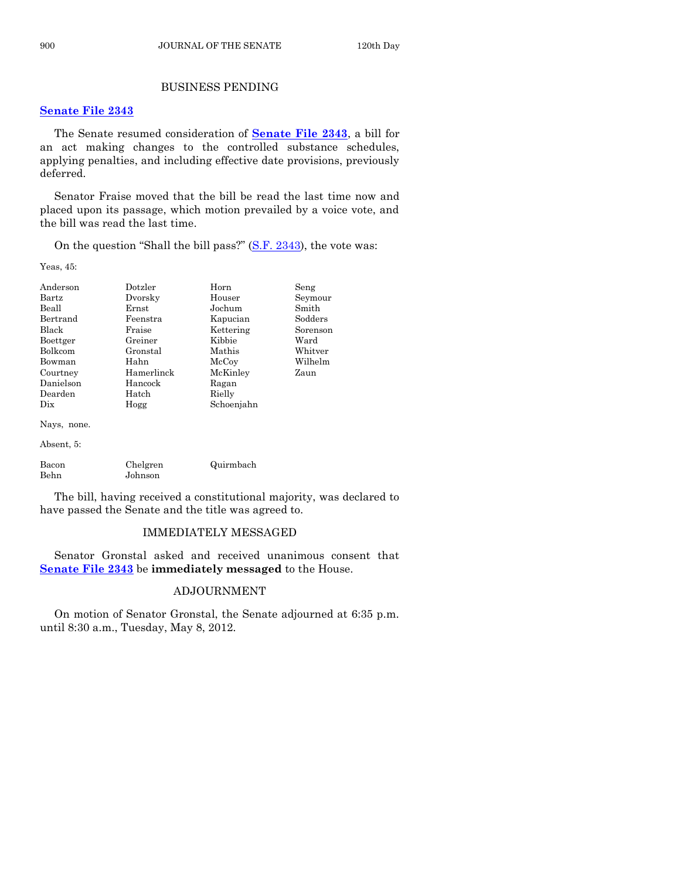# BUSINESS PENDING

# **[Senate File](http://coolice.legis.state.ia.us/Cool-ICE/default.asp?Category=billinfo&Service=Billbook&frame=1&GA=84&hbill=SF2343) 2343**

The Senate resumed consideration of **[Senate File 2343](http://coolice.legis.state.ia.us/Cool-ICE/default.asp?Category=billinfo&Service=Billbook&frame=1&GA=84&hbill=SF2343)**, a bill for an act making changes to the controlled substance schedules, applying penalties, and including effective date provisions, previously deferred.

Senator Fraise moved that the bill be read the last time now and placed upon its passage, which motion prevailed by a voice vote, and the bill was read the last time.

On the question "Shall the bill pass?" [\(S.F. 2343\)](http://coolice.legis.state.ia.us/Cool-ICE/default.asp?Category=billinfo&Service=Billbook&frame=1&GA=84&hbill=SF2343), the vote was:

Yeas, 45:

| Anderson      | Dotzler             | Horn       | Seng                  |
|---------------|---------------------|------------|-----------------------|
| Bartz         | Dvorsky             | Houser     | Seymour               |
| Beall         | Ernst               | Jochum     | Smith                 |
| Bertrand      | Feenstra            | Kapucian   | Sodders               |
| Black         | Fraise              | Kettering  | Sorenson              |
| Boettger      | Greiner             | Kibbie     | $\operatorname{Ward}$ |
| Bolkcom       | Gronstal            | Mathis     | Whitver               |
| Bowman        | Hahn                | McCoy      | Wilhelm               |
| Courtney      | Hamerlinck          | McKinley   | Zaun                  |
| Danielson     | Hancock             | Ragan      |                       |
| Dearden       | Hatch               | Rielly     |                       |
| Dix           | Hogg                | Schoenjahn |                       |
| Nays, none.   |                     |            |                       |
| Absent, 5:    |                     |            |                       |
| Bacon<br>Behn | Chelgren<br>Johnson | Quirmbach  |                       |

The bill, having received a constitutional majority, was declared to have passed the Senate and the title was agreed to.

# IMMEDIATELY MESSAGED

Senator Gronstal asked and received unanimous consent that **[Senate File 2343](http://coolice.legis.state.ia.us/Cool-ICE/default.asp?Category=billinfo&Service=Billbook&frame=1&GA=84&hbill=SF2343)** be **immediately messaged** to the House.

# ADJOURNMENT

On motion of Senator Gronstal, the Senate adjourned at 6:35 p.m. until 8:30 a.m., Tuesday, May 8, 2012.